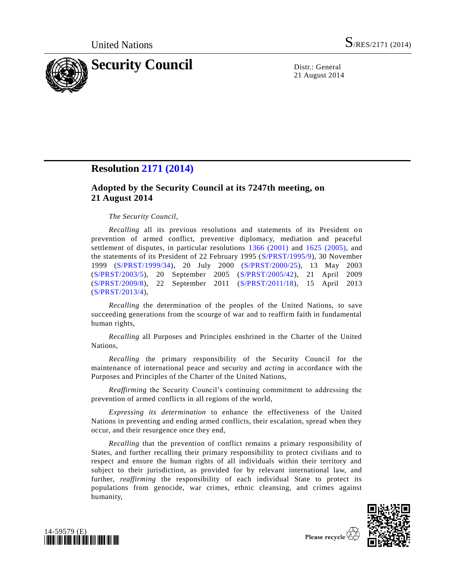

21 August 2014

## **Resolution [2171 \(2014\)](http://undocs.org/S/RES/2171(2014))**

## **Adopted by the Security Council at its 7247th meeting, on 21 August 2014**

## *The Security Council*,

*Recalling* all its previous resolutions and statements of its President on prevention of armed conflict, preventive diplomacy, mediation and peaceful settlement of disputes, in particular resolutions [1366 \(2001\)](http://undocs.org/S/RES/1366(2001)) and [1625 \(2005\),](http://undocs.org/S/RES/1625(2005)) and the statements of its President of 22 February 1995 [\(S/PRST/1995/9\)](http://undocs.org/S/PRST/1995/9), 30 November 1999 [\(S/PRST/1999/34\)](http://undocs.org/S/PRST/1999/34), 20 July 2000 [\(S/PRST/2000/25\)](http://undocs.org/S/PRST/2000/25), 13 May 2003 [\(S/PRST/2003/5\)](http://undocs.org/S/PRST/2003/5), 20 September 2005 [\(S/PRST/2005/42\)](http://undocs.org/S/PRST/2005/42), 21 April 2009 [\(S/PRST/2009/8\)](http://undocs.org/S/PRST/2009/8), 22 September 2011 [\(S/PRST/2011/18\)](http://undocs.org/S/PRST/2011/18), 15 April 2013 [\(S/PRST/2013/4\)](http://undocs.org/S/PRST/2013/4),

*Recalling* the determination of the peoples of the United Nations, to save succeeding generations from the scourge of war and to reaffirm faith in fundamental human rights,

*Recalling* all Purposes and Principles enshrined in the Charter of the United Nations,

*Recalling* the primary responsibility of the Security Council for the maintenance of international peace and security and *acting* in accordance with the Purposes and Principles of the Charter of the United Nations,

*Reaffirming* the Security Council's continuing commitment to addressing the prevention of armed conflicts in all regions of the world,

*Expressing its determination* to enhance the effectiveness of the United Nations in preventing and ending armed conflicts, their escalation, spread when they occur, and their resurgence once they end,

*Recalling* that the prevention of conflict remains a primary responsibility of States, and further recalling their primary responsibility to protect civilians and to respect and ensure the human rights of all individuals within their territory and subject to their jurisdiction, as provided for by relevant international law, and further, *reaffirming* the responsibility of each individual State to protect its populations from genocide, war crimes, ethnic cleansing, and crimes against humanity,





Please recycle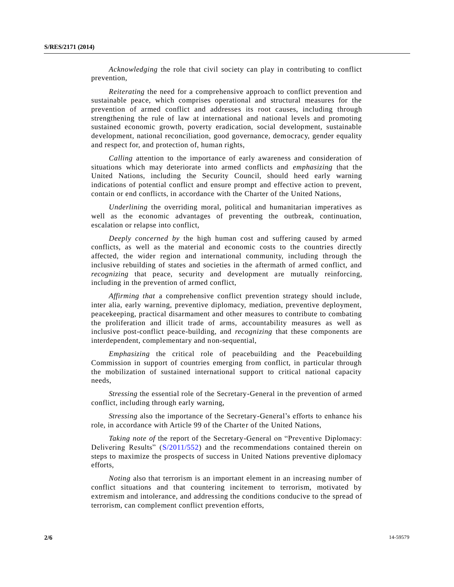*Acknowledging* the role that civil society can play in contributing to conflict prevention,

*Reiterating* the need for a comprehensive approach to conflict prevention and sustainable peace, which comprises operational and structural measures for the prevention of armed conflict and addresses its root causes, including through strengthening the rule of law at international and national levels and promoting sustained economic growth, poverty eradication, social development, sustainable development, national reconciliation, good governance, democracy, gender equality and respect for, and protection of, human rights,

*Calling* attention to the importance of early awareness and consideration of situations which may deteriorate into armed conflicts and *emphasizing* that the United Nations, including the Security Council, should heed early warning indications of potential conflict and ensure prompt and effective action to prevent, contain or end conflicts, in accordance with the Charter of the United Nations,

*Underlining* the overriding moral, political and humanitarian imperatives as well as the economic advantages of preventing the outbreak, continuation, escalation or relapse into conflict,

*Deeply concerned by* the high human cost and suffering caused by armed conflicts, as well as the material and economic costs to the countries directly affected, the wider region and international community, including through the inclusive rebuilding of states and societies in the aftermath of armed conflict, and *recognizing* that peace, security and development are mutually reinforcing, including in the prevention of armed conflict,

*Affirming that* a comprehensive conflict prevention strategy should include, inter alia, early warning, preventive diplomacy, mediation, preventive deployment, peacekeeping, practical disarmament and other measures to contribute to combating the proliferation and illicit trade of arms, accountability measures as well as inclusive post-conflict peace-building, and *recognizing* that these components are interdependent, complementary and non-sequential,

*Emphasizing* the critical role of peacebuilding and the Peacebuilding Commission in support of countries emerging from conflict, in particular through the mobilization of sustained international support to critical national capacity needs,

*Stressing* the essential role of the Secretary-General in the prevention of armed conflict, including through early warning,

*Stressing* also the importance of the Secretary-General's efforts to enhance his role, in accordance with Article 99 of the Charter of the United Nations,

*Taking note of* the report of the Secretary-General on "Preventive Diplomacy: Delivering Results" [\(S/2011/552\)](http://undocs.org/S/2011/552) and the recommendations contained therein on steps to maximize the prospects of success in United Nations preventive diplomacy efforts,

*Noting* also that terrorism is an important element in an increasing number of conflict situations and that countering incitement to terrorism, motivated by extremism and intolerance, and addressing the conditions conducive to the spread of terrorism, can complement conflict prevention efforts,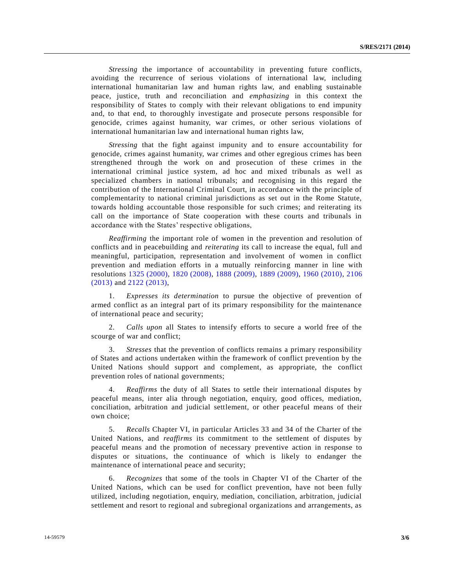*Stressing* the importance of accountability in preventing future conflicts, avoiding the recurrence of serious violations of international law, including international humanitarian law and human rights law, and enabling sustainable peace, justice, truth and reconciliation and *emphasizing* in this context the responsibility of States to comply with their relevant obligations to end impunity and, to that end, to thoroughly investigate and prosecute persons responsible for genocide, crimes against humanity, war crimes, or other serious violations of international humanitarian law and international human rights law,

*Stressing* that the fight against impunity and to ensure accountability for genocide, crimes against humanity, war crimes and other egregious crimes has been strengthened through the work on and prosecution of these crimes in the international criminal justice system, ad hoc and mixed tribunals as well as specialized chambers in national tribunals; and recognising in this regard the contribution of the International Criminal Court, in accordance with the principle of complementarity to national criminal jurisdictions as set out in the Rome Statute, towards holding accountable those responsible for such crimes; and reiterating its call on the importance of State cooperation with these courts and tribunals in accordance with the States' respective obligations,

*Reaffirming* the important role of women in the prevention and resolution of conflicts and in peacebuilding and *reiterating* its call to increase the equal, full and meaningful, participation, representation and involvement of women in conflict prevention and mediation efforts in a mutually reinforcing manner in line with resolutions [1325 \(2000\),](http://undocs.org/S/RES/1325(2000)) [1820 \(2008\),](http://undocs.org/S/RES/1820(2008)) [1888 \(2009\),](http://undocs.org/S/RES/1888(2009)) [1889 \(2009\),](http://undocs.org/S/RES/1889(2009)) [1960 \(2010\),](http://undocs.org/S/RES/1960(2010)) [2106](http://undocs.org/S/RES/2106(2013))  [\(2013\)](http://undocs.org/S/RES/2106(2013)) and [2122 \(2013\),](http://undocs.org/S/RES/2122(2013))

1. *Expresses its determination* to pursue the objective of prevention of armed conflict as an integral part of its primary responsibility for the maintenance of international peace and security;

2. *Calls upon* all States to intensify efforts to secure a world free of the scourge of war and conflict;

3. *Stresses* that the prevention of conflicts remains a primary responsibility of States and actions undertaken within the framework of conflict prevention by the United Nations should support and complement, as appropriate, the conflict prevention roles of national governments;

4. *Reaffirms* the duty of all States to settle their international disputes by peaceful means, inter alia through negotiation, enquiry, good offices, mediation, conciliation, arbitration and judicial settlement, or other peaceful means of their own choice;

5. *Recalls* Chapter VI, in particular Articles 33 and 34 of the Charter of the United Nations, and *reaffirms* its commitment to the settlement of disputes by peaceful means and the promotion of necessary preventive action in response to disputes or situations, the continuance of which is likely to endanger the maintenance of international peace and security;

6. *Recognizes* that some of the tools in Chapter VI of the Charter of the United Nations, which can be used for conflict prevention, have not been fully utilized, including negotiation, enquiry, mediation, conciliation, arbitration, judicial settlement and resort to regional and subregional organizations and arrangements, as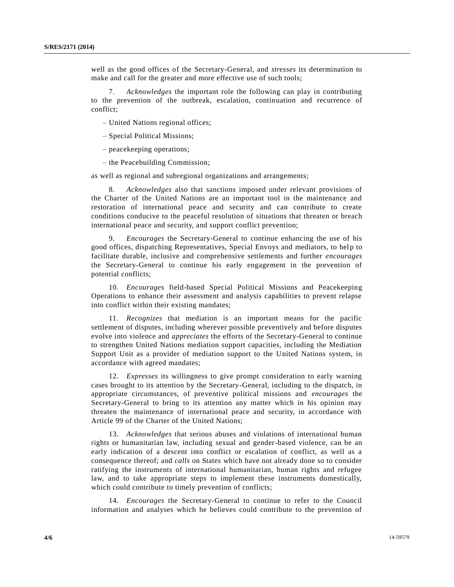well as the good offices of the Secretary-General, and *stresses* its determination to make and call for the greater and more effective use of such tools;

7. *Acknowledges* the important role the following can play in contributing to the prevention of the outbreak, escalation, continuation and recurrence of conflict;

– United Nations regional offices;

- Special Political Missions;
- peacekeeping operations;
- the Peacebuilding Commission;

as well as regional and subregional organizations and arrangements;

8. *Acknowledges* also that sanctions imposed under relevant provisions of the Charter of the United Nations are an important tool in the maintenance and restoration of international peace and security and can contribute to create conditions conducive to the peaceful resolution of situations that threaten or breach international peace and security, and support conflict prevention;

9. *Encourages* the Secretary-General to continue enhancing the use of his good offices, dispatching Representatives, Special Envoys and mediators, to help to facilitate durable, inclusive and comprehensive settlements and further *encourages* the Secretary-General to continue his early engagement in the prevention of potential conflicts;

10. *Encourages* field-based Special Political Missions and Peacekeeping Operations to enhance their assessment and analysis capabilities to prevent relapse into conflict within their existing mandates;

11. *Recognizes* that mediation is an important means for the pacific settlement of disputes, including wherever possible preventively and before disputes evolve into violence and *appreciates* the efforts of the Secretary-General to continue to strengthen United Nations mediation support capacities, including the Mediation Support Unit as a provider of mediation support to the United Nations system, in accordance with agreed mandates;

12. *Expresses* its willingness to give prompt consideration to early warning cases brought to its attention by the Secretary-General, including to the dispatch, in appropriate circumstances, of preventive political missions and *encourages* the Secretary-General to bring to its attention any matter which in his opinion may threaten the maintenance of international peace and security, in accordance with Article 99 of the Charter of the United Nations;

13. *Acknowledges* that serious abuses and violations of international human rights or humanitarian law, including sexual and gender-based violence, can be an early indication of a descent into conflict or escalation of conflict, as well as a consequence thereof; and *calls* on States which have not already done so to consider ratifying the instruments of international humanitarian, human rights and refugee law, and to take appropriate steps to implement these instruments domestically, which could contribute to timely prevention of conflicts;

14. *Encourages* the Secretary-General to continue to refer to the Council information and analyses which he believes could contribute to the prevention of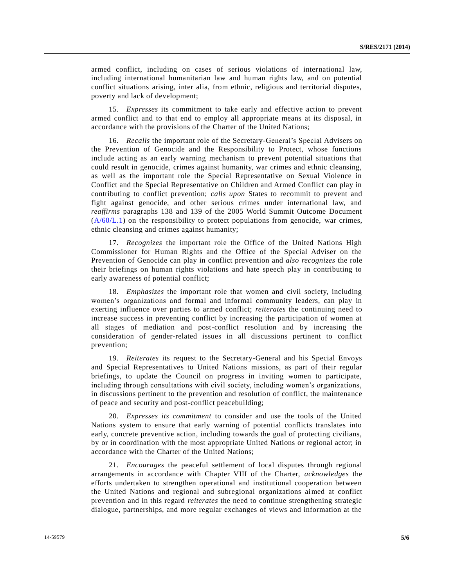armed conflict, including on cases of serious violations of international law, including international humanitarian law and human rights law, and on potential conflict situations arising, inter alia, from ethnic, religious and territorial disputes, poverty and lack of development;

15. *Expresses* its commitment to take early and effective action to prevent armed conflict and to that end to employ all appropriate means at its disposal, in accordance with the provisions of the Charter of the United Nations;

16. *Recalls* the important role of the Secretary-General's Special Advisers on the Prevention of Genocide and the Responsibility to Protect, whose functions include acting as an early warning mechanism to prevent potential situations that could result in genocide, crimes against humanity, war crimes and ethnic cleansing, as well as the important role the Special Representative on Sexual Violence in Conflict and the Special Representative on Children and Armed Conflict can play in contributing to conflict prevention; *calls upon* States to recommit to prevent and fight against genocide, and other serious crimes under international law, and *reaffirms* paragraphs 138 and 139 of the 2005 World Summit Outcome Document  $(A/60/L.1)$  on the responsibility to protect populations from genocide, war crimes, ethnic cleansing and crimes against humanity;

17. *Recognizes* the important role the Office of the United Nations High Commissioner for Human Rights and the Office of the Special Adviser on the Prevention of Genocide can play in conflict prevention and *also recognizes* the role their briefings on human rights violations and hate speech play in contributing to early awareness of potential conflict;

18. *Emphasizes* the important role that women and civil society, including women's organizations and formal and informal community leaders, can play in exerting influence over parties to armed conflict; *reiterates* the continuing need to increase success in preventing conflict by increasing the participation of women at all stages of mediation and post-conflict resolution and by increasing the consideration of gender-related issues in all discussions pertinent to conflict prevention;

19. *Reiterates* its request to the Secretary-General and his Special Envoys and Special Representatives to United Nations missions, as part of their regular briefings, to update the Council on progress in inviting women to participate, including through consultations with civil society, including women's organizations, in discussions pertinent to the prevention and resolution of conflict, the maintenance of peace and security and post-conflict peacebuilding;

20. *Expresses its commitment* to consider and use the tools of the United Nations system to ensure that early warning of potential conflicts translates into early, concrete preventive action, including towards the goal of protecting civilians, by or in coordination with the most appropriate United Nations or regional actor; in accordance with the Charter of the United Nations;

21. *Encourages* the peaceful settlement of local disputes through regional arrangements in accordance with Chapter VIII of the Charter, *acknowledges* the efforts undertaken to strengthen operational and institutional cooperation between the United Nations and regional and subregional organizations aimed at conflict prevention and in this regard *reiterates* the need to continue strengthening strategic dialogue, partnerships, and more regular exchanges of views and information at the